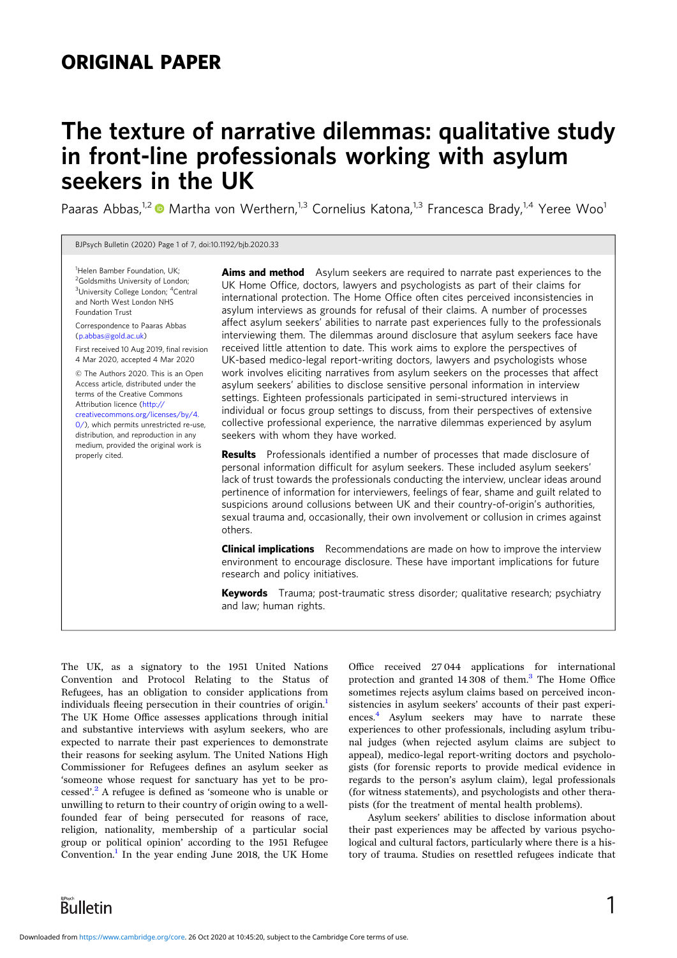# ORIGINAL PAPER

# The texture of narrative dilemmas: qualitative study in front-line professionals working with asylum seekers in the UK

Paaras Abbas,<sup>1,2</sup>  $\bullet$  Martha von Werthern,<sup>1,3</sup> Cornelius Katona,<sup>1,3</sup> Francesca Brady,<sup>1,4</sup> Yeree Woo<sup>1</sup>

BJPsych Bulletin (2020) Page 1 of 7, doi:10.1192/bjb.2020.33

<sup>1</sup>Helen Bamber Foundation, UK; <sup>2</sup>Goldsmiths University of London; <sup>3</sup>University College London; <sup>4</sup>Central and North West London NHS Foundation Trust

Correspondence to Paaras Abbas [\(p.abbas@gold.ac.uk](mailto:p.abbas@gold.ac.uk))

First received 10 Aug 2019, final revision 4 Mar 2020, accepted 4 Mar 2020

© The Authors 2020. This is an Open Access article, distributed under the terms of the Creative Commons Attribution licence [\(http://](http://creativecommons.org/licenses/by/4.0/) [creativecommons.org/licenses/by/4.](http://creativecommons.org/licenses/by/4.0/) [0/](http://creativecommons.org/licenses/by/4.0/)), which permits unrestricted re-use, distribution, and reproduction in any medium, provided the original work is

properly cited.

**Aims and method** Asylum seekers are required to narrate past experiences to the UK Home Office, doctors, lawyers and psychologists as part of their claims for international protection. The Home Office often cites perceived inconsistencies in asylum interviews as grounds for refusal of their claims. A number of processes affect asylum seekers' abilities to narrate past experiences fully to the professionals interviewing them. The dilemmas around disclosure that asylum seekers face have received little attention to date. This work aims to explore the perspectives of UK-based medico-legal report-writing doctors, lawyers and psychologists whose work involves eliciting narratives from asylum seekers on the processes that affect asylum seekers' abilities to disclose sensitive personal information in interview settings. Eighteen professionals participated in semi-structured interviews in individual or focus group settings to discuss, from their perspectives of extensive collective professional experience, the narrative dilemmas experienced by asylum seekers with whom they have worked.

Results Professionals identified a number of processes that made disclosure of personal information difficult for asylum seekers. These included asylum seekers' lack of trust towards the professionals conducting the interview, unclear ideas around pertinence of information for interviewers, feelings of fear, shame and guilt related to suspicions around collusions between UK and their country-of-origin's authorities, sexual trauma and, occasionally, their own involvement or collusion in crimes against others.

**Clinical implications** Recommendations are made on how to improve the interview environment to encourage disclosure. These have important implications for future research and policy initiatives.

Keywords Trauma; post-traumatic stress disorder; qualitative research; psychiatry and law; human rights.

The UK, as a signatory to the 1951 United Nations Convention and Protocol Relating to the Status of Refugees, has an obligation to consider applications from individuals fleeing persecution in their countries of origin.<sup>[1](#page-6-0)</sup> The UK Home Office assesses applications through initial and substantive interviews with asylum seekers, who are expected to narrate their past experiences to demonstrate their reasons for seeking asylum. The United Nations High Commissioner for Refugees defines an asylum seeker as 'someone whose request for sanctuary has yet to be processed'. [2](#page-6-0) A refugee is defined as 'someone who is unable or unwilling to return to their country of origin owing to a wellfounded fear of being persecuted for reasons of race, religion, nationality, membership of a particular social group or political opinion' according to the 1951 Refugee Convention.<sup>[1](#page-6-0)</sup> In the year ending June 2018, the UK Home

Office received 27 044 applications for international protection and granted  $14\overline{308}$  $14\overline{308}$  $14\overline{308}$  of them.<sup>3</sup> The Home Office sometimes rejects asylum claims based on perceived inconsistencies in asylum seekers' accounts of their past experiences.<sup>4</sup> Asylum seekers may have to narrate these experiences to other professionals, including asylum tribunal judges (when rejected asylum claims are subject to appeal), medico-legal report-writing doctors and psychologists (for forensic reports to provide medical evidence in regards to the person's asylum claim), legal professionals (for witness statements), and psychologists and other therapists (for the treatment of mental health problems).

Asylum seekers' abilities to disclose information about their past experiences may be affected by various psychological and cultural factors, particularly where there is a history of trauma. Studies on resettled refugees indicate that

**Bulletin**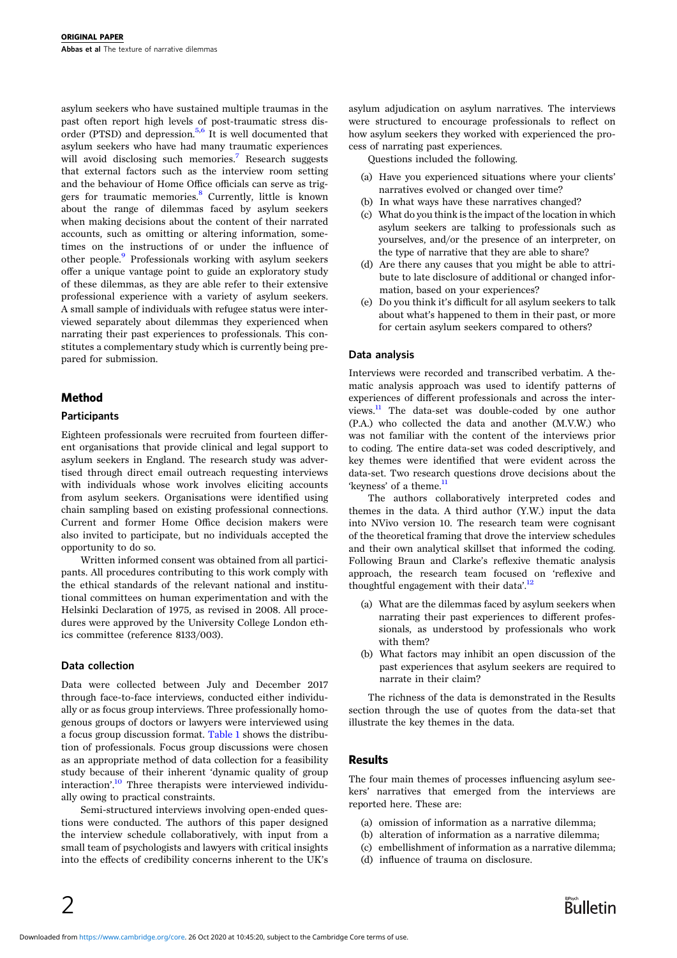asylum seekers who have sustained multiple traumas in the past often report high levels of post-traumatic stress disorder (PTSD) and depression. $5.6$  $5.6$  $5.6$  It is well documented that asylum seekers who have had many traumatic experiences will avoid disclosing such memories.<sup>[7](#page-6-0)</sup> Research suggests that external factors such as the interview room setting and the behaviour of Home Office officials can serve as trig-gers for traumatic memories.<sup>[8](#page-6-0)</sup> Currently, little is known about the range of dilemmas faced by asylum seekers when making decisions about the content of their narrated accounts, such as omitting or altering information, sometimes on the instructions of or under the influence of other people.<sup>[9](#page-6-0)</sup> Professionals working with asylum seekers offer a unique vantage point to guide an exploratory study of these dilemmas, as they are able refer to their extensive professional experience with a variety of asylum seekers. A small sample of individuals with refugee status were interviewed separately about dilemmas they experienced when narrating their past experiences to professionals. This constitutes a complementary study which is currently being prepared for submission.

# Method

### **Participants**

Eighteen professionals were recruited from fourteen different organisations that provide clinical and legal support to asylum seekers in England. The research study was advertised through direct email outreach requesting interviews with individuals whose work involves eliciting accounts from asylum seekers. Organisations were identified using chain sampling based on existing professional connections. Current and former Home Office decision makers were also invited to participate, but no individuals accepted the opportunity to do so.

Written informed consent was obtained from all participants. All procedures contributing to this work comply with the ethical standards of the relevant national and institutional committees on human experimentation and with the Helsinki Declaration of 1975, as revised in 2008. All procedures were approved by the University College London ethics committee (reference 8133/003).

#### Data collection

Data were collected between July and December 2017 through face-to-face interviews, conducted either individually or as focus group interviews. Three professionally homogenous groups of doctors or lawyers were interviewed using a focus group discussion format. [Table 1](#page-2-0) shows the distribution of professionals. Focus group discussions were chosen as an appropriate method of data collection for a feasibility study because of their inherent 'dynamic quality of group interaction'. [10](#page-6-0) Three therapists were interviewed individually owing to practical constraints.

Semi-structured interviews involving open-ended questions were conducted. The authors of this paper designed the interview schedule collaboratively, with input from a small team of psychologists and lawyers with critical insights into the effects of credibility concerns inherent to the UK's asylum adjudication on asylum narratives. The interviews were structured to encourage professionals to reflect on how asylum seekers they worked with experienced the process of narrating past experiences.

Questions included the following.

- (a) Have you experienced situations where your clients' narratives evolved or changed over time?
- (b) In what ways have these narratives changed?
- (c) What do you think is the impact of the location in which asylum seekers are talking to professionals such as yourselves, and/or the presence of an interpreter, on the type of narrative that they are able to share?
- (d) Are there any causes that you might be able to attribute to late disclosure of additional or changed information, based on your experiences?
- (e) Do you think it's difficult for all asylum seekers to talk about what's happened to them in their past, or more for certain asylum seekers compared to others?

#### Data analysis

Interviews were recorded and transcribed verbatim. A thematic analysis approach was used to identify patterns of experiences of different professionals and across the interviews.[11](#page-6-0) The data-set was double-coded by one author (P.A.) who collected the data and another (M.V.W.) who was not familiar with the content of the interviews prior to coding. The entire data-set was coded descriptively, and key themes were identified that were evident across the data-set. Two research questions drove decisions about the 'keyness' of a theme. $<sup>1</sup>$ </sup>

The authors collaboratively interpreted codes and themes in the data. A third author (Y.W.) input the data into NVivo version 10. The research team were cognisant of the theoretical framing that drove the interview schedules and their own analytical skillset that informed the coding. Following Braun and Clarke's reflexive thematic analysis approach, the research team focused on 'reflexive and thoughtful engagement with their data'.<sup>[12](#page-6-0)</sup>

- (a) What are the dilemmas faced by asylum seekers when narrating their past experiences to different professionals, as understood by professionals who work with them?
- (b) What factors may inhibit an open discussion of the past experiences that asylum seekers are required to narrate in their claim?

The richness of the data is demonstrated in the Results section through the use of quotes from the data-set that illustrate the key themes in the data.

#### **Results**

The four main themes of processes influencing asylum seekers' narratives that emerged from the interviews are reported here. These are:

- (a) omission of information as a narrative dilemma;
- (b) alteration of information as a narrative dilemma;
- (c) embellishment of information as a narrative dilemma;
- (d) influence of trauma on disclosure.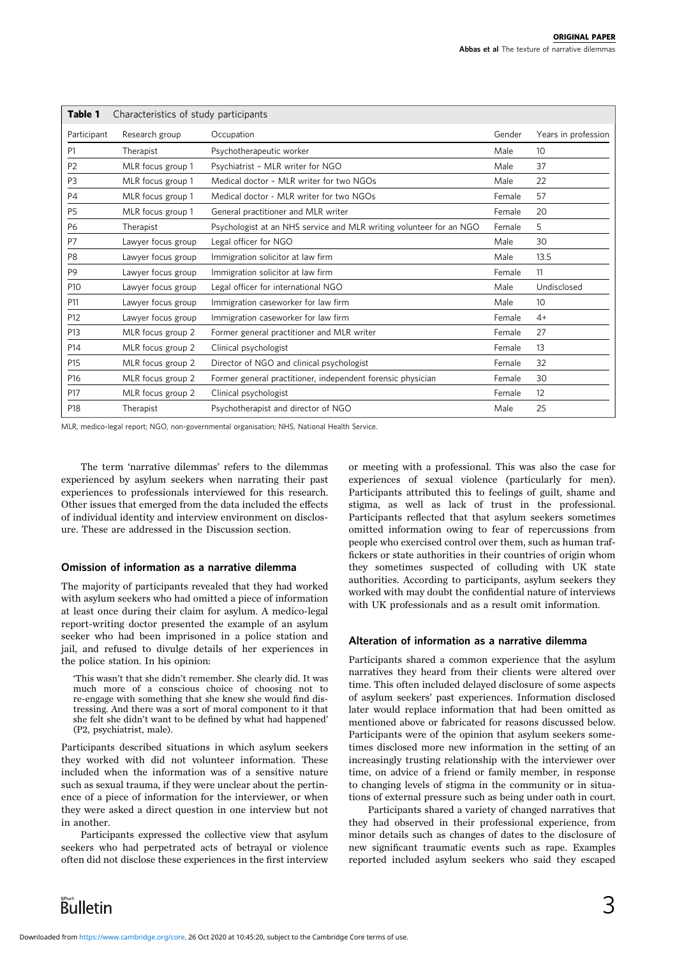<span id="page-2-0"></span>

| Table 1<br>Characteristics of study participants |                    |                                                                     |        |                     |
|--------------------------------------------------|--------------------|---------------------------------------------------------------------|--------|---------------------|
| Participant                                      | Research group     | Occupation                                                          | Gender | Years in profession |
| P <sub>1</sub>                                   | Therapist          | Psychotherapeutic worker                                            | Male   | 10                  |
| P <sub>2</sub>                                   | MLR focus group 1  | Psychiatrist - MLR writer for NGO                                   | Male   | 37                  |
| P <sub>3</sub>                                   | MLR focus group 1  | Medical doctor - MLR writer for two NGOs                            | Male   | 22                  |
| P <sub>4</sub>                                   | MLR focus group 1  | Medical doctor - MLR writer for two NGOs                            | Female | 57                  |
| P <sub>5</sub>                                   | MLR focus group 1  | General practitioner and MLR writer                                 | Female | 20                  |
| <b>P6</b>                                        | Therapist          | Psychologist at an NHS service and MLR writing volunteer for an NGO | Female | 5                   |
| P7                                               | Lawyer focus group | Legal officer for NGO                                               | Male   | 30                  |
| P <sub>8</sub>                                   | Lawyer focus group | Immigration solicitor at law firm                                   | Male   | 13.5                |
| P <sub>9</sub>                                   | Lawyer focus group | Immigration solicitor at law firm                                   | Female | 11                  |
| P <sub>10</sub>                                  | Lawyer focus group | Legal officer for international NGO                                 | Male   | Undisclosed         |
| P11                                              | Lawyer focus group | Immigration caseworker for law firm                                 | Male   | 10                  |
| P12                                              | Lawyer focus group | Immigration caseworker for law firm                                 | Female | $4+$                |
| P13                                              | MLR focus group 2  | Former general practitioner and MLR writer                          | Female | 27                  |
| P14                                              | MLR focus group 2  | Clinical psychologist                                               | Female | 13                  |
| P <sub>15</sub>                                  | MLR focus group 2  | Director of NGO and clinical psychologist                           | Female | 32                  |
| P <sub>16</sub>                                  | MLR focus group 2  | Former general practitioner, independent forensic physician         | Female | 30                  |
| P17                                              | MLR focus group 2  | Clinical psychologist                                               | Female | 12                  |
| P18                                              | Therapist          | Psychotherapist and director of NGO                                 | Male   | 25                  |

MLR, medico-legal report; NGO, non-governmental organisation; NHS, National Health Service.

The term 'narrative dilemmas' refers to the dilemmas experienced by asylum seekers when narrating their past experiences to professionals interviewed for this research. Other issues that emerged from the data included the effects of individual identity and interview environment on disclosure. These are addressed in the Discussion section.

#### Omission of information as a narrative dilemma

The majority of participants revealed that they had worked with asylum seekers who had omitted a piece of information at least once during their claim for asylum. A medico-legal report-writing doctor presented the example of an asylum seeker who had been imprisoned in a police station and jail, and refused to divulge details of her experiences in the police station. In his opinion:

'This wasn't that she didn't remember. She clearly did. It was much more of a conscious choice of choosing not to re-engage with something that she knew she would find distressing. And there was a sort of moral component to it that she felt she didn't want to be defined by what had happened' (P2, psychiatrist, male).

Participants described situations in which asylum seekers they worked with did not volunteer information. These included when the information was of a sensitive nature such as sexual trauma, if they were unclear about the pertinence of a piece of information for the interviewer, or when they were asked a direct question in one interview but not in another.

Participants expressed the collective view that asylum seekers who had perpetrated acts of betrayal or violence often did not disclose these experiences in the first interview or meeting with a professional. This was also the case for experiences of sexual violence (particularly for men). Participants attributed this to feelings of guilt, shame and stigma, as well as lack of trust in the professional. Participants reflected that that asylum seekers sometimes omitted information owing to fear of repercussions from people who exercised control over them, such as human traffickers or state authorities in their countries of origin whom they sometimes suspected of colluding with UK state authorities. According to participants, asylum seekers they worked with may doubt the confidential nature of interviews with UK professionals and as a result omit information.

#### Alteration of information as a narrative dilemma

Participants shared a common experience that the asylum narratives they heard from their clients were altered over time. This often included delayed disclosure of some aspects of asylum seekers' past experiences. Information disclosed later would replace information that had been omitted as mentioned above or fabricated for reasons discussed below. Participants were of the opinion that asylum seekers sometimes disclosed more new information in the setting of an increasingly trusting relationship with the interviewer over time, on advice of a friend or family member, in response to changing levels of stigma in the community or in situations of external pressure such as being under oath in court.

Participants shared a variety of changed narratives that they had observed in their professional experience, from minor details such as changes of dates to the disclosure of new significant traumatic events such as rape. Examples reported included asylum seekers who said they escaped

**Bulletin**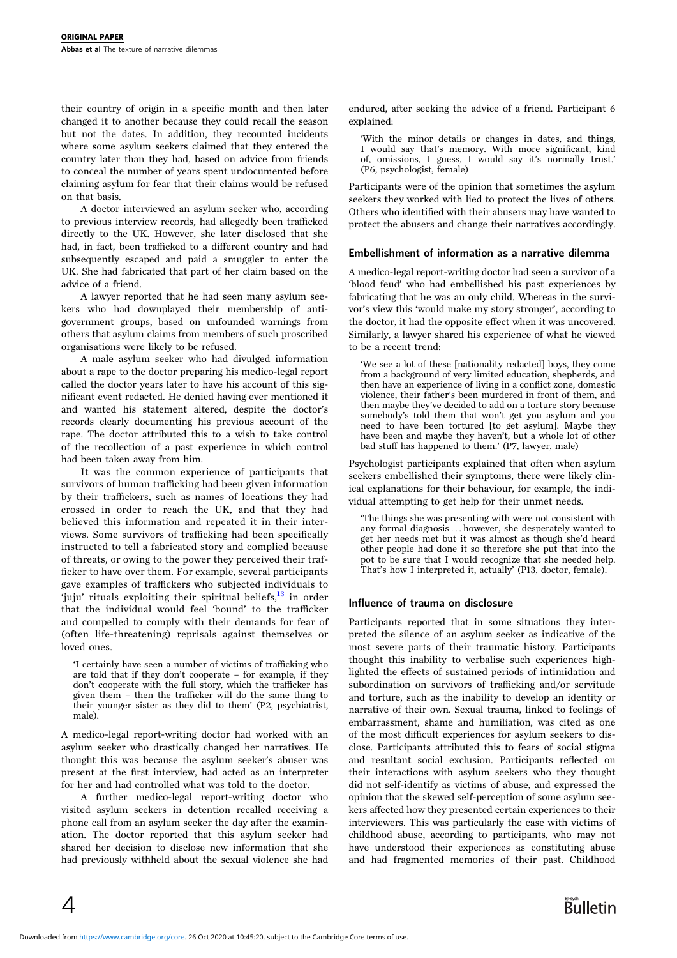their country of origin in a specific month and then later changed it to another because they could recall the season but not the dates. In addition, they recounted incidents where some asylum seekers claimed that they entered the country later than they had, based on advice from friends to conceal the number of years spent undocumented before claiming asylum for fear that their claims would be refused on that basis.

A doctor interviewed an asylum seeker who, according to previous interview records, had allegedly been trafficked directly to the UK. However, she later disclosed that she had, in fact, been trafficked to a different country and had subsequently escaped and paid a smuggler to enter the UK. She had fabricated that part of her claim based on the advice of a friend.

A lawyer reported that he had seen many asylum seekers who had downplayed their membership of antigovernment groups, based on unfounded warnings from others that asylum claims from members of such proscribed organisations were likely to be refused.

A male asylum seeker who had divulged information about a rape to the doctor preparing his medico-legal report called the doctor years later to have his account of this significant event redacted. He denied having ever mentioned it and wanted his statement altered, despite the doctor's records clearly documenting his previous account of the rape. The doctor attributed this to a wish to take control of the recollection of a past experience in which control had been taken away from him.

It was the common experience of participants that survivors of human trafficking had been given information by their traffickers, such as names of locations they had crossed in order to reach the UK, and that they had believed this information and repeated it in their interviews. Some survivors of trafficking had been specifically instructed to tell a fabricated story and complied because of threats, or owing to the power they perceived their trafficker to have over them. For example, several participants gave examples of traffickers who subjected individuals to 'juju' rituals exploiting their spiritual beliefs, $^{13}$  $^{13}$  $^{13}$  in order that the individual would feel 'bound' to the trafficker and compelled to comply with their demands for fear of (often life-threatening) reprisals against themselves or loved ones.

'I certainly have seen a number of victims of trafficking who are told that if they don't cooperate – for example, if they don't cooperate with the full story, which the trafficker has given them – then the trafficker will do the same thing to their younger sister as they did to them' (P2, psychiatrist, male).

A medico-legal report-writing doctor had worked with an asylum seeker who drastically changed her narratives. He thought this was because the asylum seeker's abuser was present at the first interview, had acted as an interpreter for her and had controlled what was told to the doctor.

A further medico-legal report-writing doctor who visited asylum seekers in detention recalled receiving a phone call from an asylum seeker the day after the examination. The doctor reported that this asylum seeker had shared her decision to disclose new information that she had previously withheld about the sexual violence she had

endured, after seeking the advice of a friend. Participant 6 explained:

'With the minor details or changes in dates, and things, I would say that's memory. With more significant, kind of, omissions, I guess, I would say it's normally trust.' (P6, psychologist, female)

Participants were of the opinion that sometimes the asylum seekers they worked with lied to protect the lives of others. Others who identified with their abusers may have wanted to protect the abusers and change their narratives accordingly.

#### Embellishment of information as a narrative dilemma

A medico-legal report-writing doctor had seen a survivor of a 'blood feud' who had embellished his past experiences by fabricating that he was an only child. Whereas in the survivor's view this 'would make my story stronger', according to the doctor, it had the opposite effect when it was uncovered. Similarly, a lawyer shared his experience of what he viewed to be a recent trend:

'We see a lot of these [nationality redacted] boys, they come from a background of very limited education, shepherds, and then have an experience of living in a conflict zone, domestic violence, their father's been murdered in front of them, and then maybe they've decided to add on a torture story because somebody's told them that won't get you asylum and you need to have been tortured [to get asylum]. Maybe they have been and maybe they haven't, but a whole lot of other bad stuff has happened to them.' (P7, lawyer, male)

Psychologist participants explained that often when asylum seekers embellished their symptoms, there were likely clinical explanations for their behaviour, for example, the individual attempting to get help for their unmet needs.

'The things she was presenting with were not consistent with any formal diagnosis ... however, she desperately wanted to get her needs met but it was almost as though she'd heard other people had done it so therefore she put that into the pot to be sure that I would recognize that she needed help. That's how I interpreted it, actually' (P13, doctor, female).

#### Influence of trauma on disclosure

Participants reported that in some situations they interpreted the silence of an asylum seeker as indicative of the most severe parts of their traumatic history. Participants thought this inability to verbalise such experiences highlighted the effects of sustained periods of intimidation and subordination on survivors of trafficking and/or servitude and torture, such as the inability to develop an identity or narrative of their own. Sexual trauma, linked to feelings of embarrassment, shame and humiliation, was cited as one of the most difficult experiences for asylum seekers to disclose. Participants attributed this to fears of social stigma and resultant social exclusion. Participants reflected on their interactions with asylum seekers who they thought did not self-identify as victims of abuse, and expressed the opinion that the skewed self-perception of some asylum seekers affected how they presented certain experiences to their interviewers. This was particularly the case with victims of childhood abuse, according to participants, who may not have understood their experiences as constituting abuse and had fragmented memories of their past. Childhood

 $\overline{4}$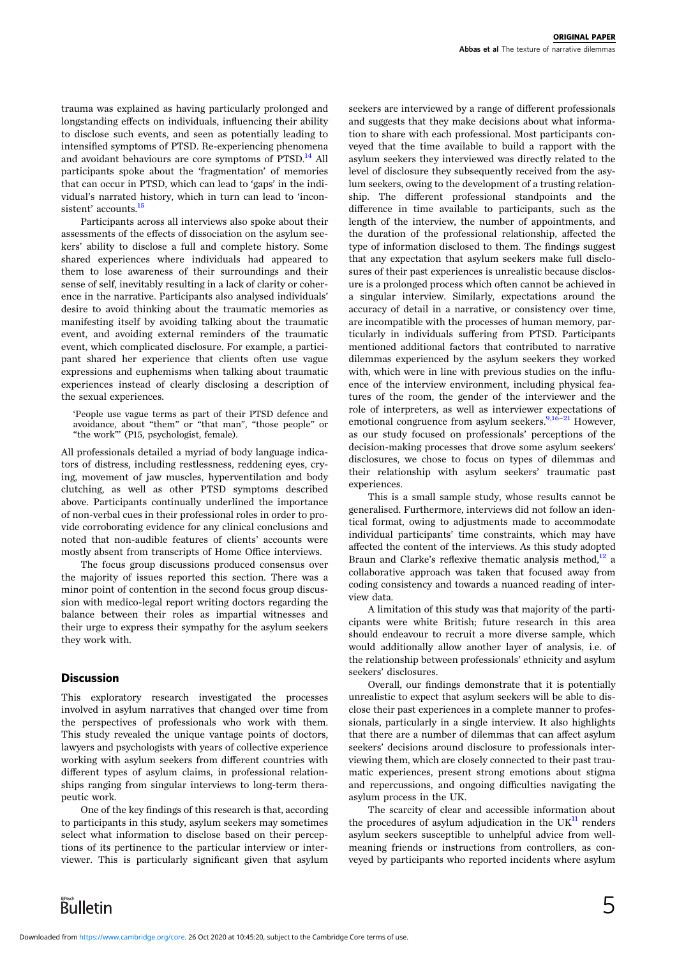trauma was explained as having particularly prolonged and longstanding effects on individuals, influencing their ability to disclose such events, and seen as potentially leading to intensified symptoms of PTSD. Re-experiencing phenomena and avoidant behaviours are core symptoms of  $PTSD<sup>14</sup>$  $PTSD<sup>14</sup>$  $PTSD<sup>14</sup>$  All participants spoke about the 'fragmentation' of memories that can occur in PTSD, which can lead to 'gaps' in the individual's narrated history, which in turn can lead to 'incon-sistent' accounts.<sup>[15](#page-6-0)</sup>

Participants across all interviews also spoke about their assessments of the effects of dissociation on the asylum seekers' ability to disclose a full and complete history. Some shared experiences where individuals had appeared to them to lose awareness of their surroundings and their sense of self, inevitably resulting in a lack of clarity or coherence in the narrative. Participants also analysed individuals' desire to avoid thinking about the traumatic memories as manifesting itself by avoiding talking about the traumatic event, and avoiding external reminders of the traumatic event, which complicated disclosure. For example, a participant shared her experience that clients often use vague expressions and euphemisms when talking about traumatic experiences instead of clearly disclosing a description of the sexual experiences.

'People use vague terms as part of their PTSD defence and avoidance, about "them" or "that man", "those people" or "the work"' (P15, psychologist, female).

All professionals detailed a myriad of body language indicators of distress, including restlessness, reddening eyes, crying, movement of jaw muscles, hyperventilation and body clutching, as well as other PTSD symptoms described above. Participants continually underlined the importance of non-verbal cues in their professional roles in order to provide corroborating evidence for any clinical conclusions and noted that non-audible features of clients' accounts were mostly absent from transcripts of Home Office interviews.

The focus group discussions produced consensus over the majority of issues reported this section. There was a minor point of contention in the second focus group discussion with medico-legal report writing doctors regarding the balance between their roles as impartial witnesses and their urge to express their sympathy for the asylum seekers they work with.

# **Discussion**

This exploratory research investigated the processes involved in asylum narratives that changed over time from the perspectives of professionals who work with them. This study revealed the unique vantage points of doctors, lawyers and psychologists with years of collective experience working with asylum seekers from different countries with different types of asylum claims, in professional relationships ranging from singular interviews to long-term therapeutic work.

One of the key findings of this research is that, according to participants in this study, asylum seekers may sometimes select what information to disclose based on their perceptions of its pertinence to the particular interview or interviewer. This is particularly significant given that asylum

seekers are interviewed by a range of different professionals and suggests that they make decisions about what information to share with each professional. Most participants conveyed that the time available to build a rapport with the asylum seekers they interviewed was directly related to the level of disclosure they subsequently received from the asylum seekers, owing to the development of a trusting relationship. The different professional standpoints and the difference in time available to participants, such as the length of the interview, the number of appointments, and the duration of the professional relationship, affected the type of information disclosed to them. The findings suggest that any expectation that asylum seekers make full disclosures of their past experiences is unrealistic because disclosure is a prolonged process which often cannot be achieved in a singular interview. Similarly, expectations around the accuracy of detail in a narrative, or consistency over time, are incompatible with the processes of human memory, particularly in individuals suffering from PTSD. Participants mentioned additional factors that contributed to narrative dilemmas experienced by the asylum seekers they worked with, which were in line with previous studies on the influence of the interview environment, including physical features of the room, the gender of the interviewer and the role of interpreters, as well as interviewer expectations of emotional congruence from asylum seekers.  $9,16-21$  $9,16-21$  However, as our study focused on professionals' perceptions of the decision-making processes that drove some asylum seekers' disclosures, we chose to focus on types of dilemmas and their relationship with asylum seekers' traumatic past experiences.

This is a small sample study, whose results cannot be generalised. Furthermore, interviews did not follow an identical format, owing to adjustments made to accommodate individual participants' time constraints, which may have affected the content of the interviews. As this study adopted Braun and Clarke's reflexive thematic analysis method, $^{12}$  $^{12}$  $^{12}$  a collaborative approach was taken that focused away from coding consistency and towards a nuanced reading of interview data.

A limitation of this study was that majority of the participants were white British; future research in this area should endeavour to recruit a more diverse sample, which would additionally allow another layer of analysis, i.e. of the relationship between professionals' ethnicity and asylum seekers' disclosures.

Overall, our findings demonstrate that it is potentially unrealistic to expect that asylum seekers will be able to disclose their past experiences in a complete manner to professionals, particularly in a single interview. It also highlights that there are a number of dilemmas that can affect asylum seekers' decisions around disclosure to professionals interviewing them, which are closely connected to their past traumatic experiences, present strong emotions about stigma and repercussions, and ongoing difficulties navigating the asylum process in the UK.

The scarcity of clear and accessible information about the procedures of asylum adjudication in the  $\mathrm{UK}^{\mathrm{11}}$  $\mathrm{UK}^{\mathrm{11}}$  $\mathrm{UK}^{\mathrm{11}}$  renders asylum seekers susceptible to unhelpful advice from wellmeaning friends or instructions from controllers, as conveyed by participants who reported incidents where asylum

Bulletin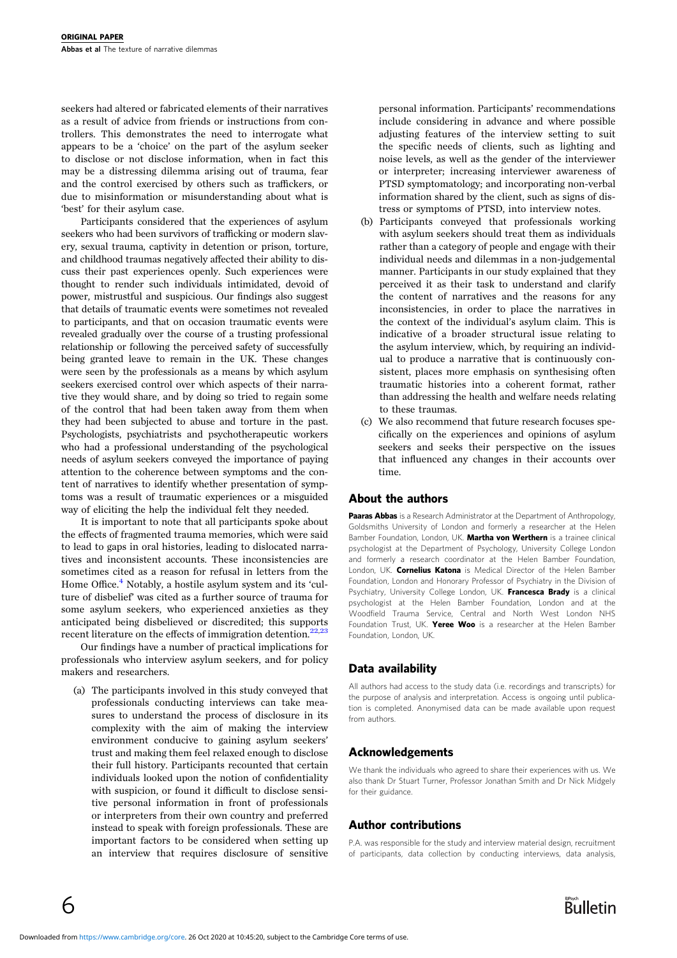seekers had altered or fabricated elements of their narratives as a result of advice from friends or instructions from controllers. This demonstrates the need to interrogate what appears to be a 'choice' on the part of the asylum seeker to disclose or not disclose information, when in fact this may be a distressing dilemma arising out of trauma, fear and the control exercised by others such as traffickers, or due to misinformation or misunderstanding about what is 'best' for their asylum case.

Participants considered that the experiences of asylum seekers who had been survivors of trafficking or modern slavery, sexual trauma, captivity in detention or prison, torture, and childhood traumas negatively affected their ability to discuss their past experiences openly. Such experiences were thought to render such individuals intimidated, devoid of power, mistrustful and suspicious. Our findings also suggest that details of traumatic events were sometimes not revealed to participants, and that on occasion traumatic events were revealed gradually over the course of a trusting professional relationship or following the perceived safety of successfully being granted leave to remain in the UK. These changes were seen by the professionals as a means by which asylum seekers exercised control over which aspects of their narrative they would share, and by doing so tried to regain some of the control that had been taken away from them when they had been subjected to abuse and torture in the past. Psychologists, psychiatrists and psychotherapeutic workers who had a professional understanding of the psychological needs of asylum seekers conveyed the importance of paying attention to the coherence between symptoms and the content of narratives to identify whether presentation of symptoms was a result of traumatic experiences or a misguided way of eliciting the help the individual felt they needed.

It is important to note that all participants spoke about the effects of fragmented trauma memories, which were said to lead to gaps in oral histories, leading to dislocated narratives and inconsistent accounts. These inconsistencies are sometimes cited as a reason for refusal in letters from the Home Office.<sup>[4](#page-6-0)</sup> Notably, a hostile asylum system and its 'culture of disbelief' was cited as a further source of trauma for some asylum seekers, who experienced anxieties as they anticipated being disbelieved or discredited; this supports recent literature on the effects of immigration detention.<sup>[22,23](#page-6-0)</sup>

Our findings have a number of practical implications for professionals who interview asylum seekers, and for policy makers and researchers.

(a) The participants involved in this study conveyed that professionals conducting interviews can take measures to understand the process of disclosure in its complexity with the aim of making the interview environment conducive to gaining asylum seekers' trust and making them feel relaxed enough to disclose their full history. Participants recounted that certain individuals looked upon the notion of confidentiality with suspicion, or found it difficult to disclose sensitive personal information in front of professionals or interpreters from their own country and preferred instead to speak with foreign professionals. These are important factors to be considered when setting up an interview that requires disclosure of sensitive personal information. Participants' recommendations include considering in advance and where possible adjusting features of the interview setting to suit the specific needs of clients, such as lighting and noise levels, as well as the gender of the interviewer or interpreter; increasing interviewer awareness of PTSD symptomatology; and incorporating non-verbal information shared by the client, such as signs of distress or symptoms of PTSD, into interview notes.

- (b) Participants conveyed that professionals working with asylum seekers should treat them as individuals rather than a category of people and engage with their individual needs and dilemmas in a non-judgemental manner. Participants in our study explained that they perceived it as their task to understand and clarify the content of narratives and the reasons for any inconsistencies, in order to place the narratives in the context of the individual's asylum claim. This is indicative of a broader structural issue relating to the asylum interview, which, by requiring an individual to produce a narrative that is continuously consistent, places more emphasis on synthesising often traumatic histories into a coherent format, rather than addressing the health and welfare needs relating to these traumas.
- (c) We also recommend that future research focuses specifically on the experiences and opinions of asylum seekers and seeks their perspective on the issues that influenced any changes in their accounts over time.

# About the authors

Paaras Abbas is a Research Administrator at the Department of Anthropology, Goldsmiths University of London and formerly a researcher at the Helen Bamber Foundation, London, UK. Martha von Werthern is a trainee clinical psychologist at the Department of Psychology, University College London and formerly a research coordinator at the Helen Bamber Foundation, London, UK. Cornelius Katona is Medical Director of the Helen Bamber Foundation, London and Honorary Professor of Psychiatry in the Division of Psychiatry, University College London, UK. Francesca Brady is a clinical psychologist at the Helen Bamber Foundation, London and at the Woodfield Trauma Service, Central and North West London NHS Foundation Trust, UK. Yeree Woo is a researcher at the Helen Bamber Foundation, London, UK.

# Data availability

All authors had access to the study data (i.e. recordings and transcripts) for the purpose of analysis and interpretation. Access is ongoing until publication is completed. Anonymised data can be made available upon request from authors.

# Acknowledgements

We thank the individuals who agreed to share their experiences with us. We also thank Dr Stuart Turner, Professor Jonathan Smith and Dr Nick Midgely for their guidance.

# Author contributions

P.A. was responsible for the study and interview material design, recruitment of participants, data collection by conducting interviews, data analysis,